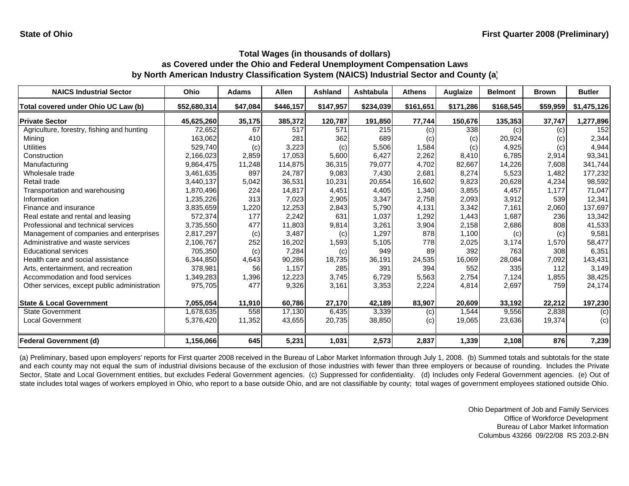| <b>NAICS Industrial Sector</b>               | Ohio         | <b>Adams</b> | <b>Allen</b> | Ashland   | Ashtabula | <b>Athens</b> | Auglaize  | <b>Belmont</b> | <b>Brown</b> | <b>Butler</b> |
|----------------------------------------------|--------------|--------------|--------------|-----------|-----------|---------------|-----------|----------------|--------------|---------------|
| Total covered under Ohio UC Law (b)          | \$52,680,314 | \$47,084     | \$446,157    | \$147,957 | \$234,039 | \$161,651     | \$171,286 | \$168,545      | \$59,959     | \$1,475,126   |
| <b>Private Sector</b>                        | 45,625,260   | 35,175       | 385,372      | 120,787   | 191,850   | 77,744        | 150,676   | 135,353        | 37,747       | 1,277,896     |
| Agriculture, forestry, fishing and hunting   | 72,652       | 67           | 517          | 571       | 215       | (c)           | 338       | (c)            | (c)          | 152           |
| Mining                                       | 163,062      | 410          | 281          | 362       | 689       | (c)           | (c)       | 20,924         | (c)          | 2,344         |
| <b>Utilities</b>                             | 529,740      | (c)          | 3,223        | (c)       | 5,506     | 1,584         | (c)       | 4,925          | (c)          | 4,944         |
| Construction                                 | 2,166,023    | 2,859        | 17,053       | 5,600     | 6,427     | 2,262         | 8,410     | 6,785          | 2,914        | 93,341        |
| Manufacturing                                | 9,864,475    | 11,248       | 114,875      | 36,315    | 79,077    | 4,702         | 82,667    | 14,226         | 7,608        | 341,744       |
| Wholesale trade                              | 3,461,635    | 897          | 24,787       | 9,083     | 7,430     | 2,681         | 8,274     | 5,523          | 1,482        | 177,232       |
| Retail trade                                 | 3,440,137    | 5,042        | 36,531       | 10,231    | 20,654    | 16,602        | 9,823     | 20,628         | 4,234        | 98,592        |
| Transportation and warehousing               | 1,870,496    | 224          | 14,817       | 4,451     | 4,405     | 1,340         | 3,855     | 4,457          | 1,177        | 71,047        |
| Information                                  | 1,235,226    | 313          | 7,023        | 2,905     | 3,347     | 2,758         | 2,093     | 3,912          | 539          | 12,341        |
| Finance and insurance                        | 3,835,659    | 1,220        | 12,253       | 2,843     | 5,790     | 4,131         | 3,342     | 7,161          | 2,060        | 137,697       |
| Real estate and rental and leasing           | 572,374      | 177          | 2,242        | 631       | 1,037     | 1,292         | 1,443     | 1,687          | 236          | 13,342        |
| Professional and technical services          | 3,735,550    | 477          | 11,803       | 9,814     | 3,261     | 3,904         | 2,158     | 2,686          | 808          | 41,533        |
| Management of companies and enterprises      | 2,817,297    | (c)          | 3,487        | (c)       | 1,297     | 878           | 1,100     | (c)            | (c)          | 9,581         |
| Administrative and waste services            | 2,106,767    | 252          | 16,202       | 1,593     | 5,105     | 778           | 2,025     | 3,174          | 1,570        | 58,477        |
| <b>Educational services</b>                  | 705.350      | (c)          | 7,284        | (c)       | 949       | 89            | 392       | 763            | 308          | 6,351         |
| Health care and social assistance            | 6,344,850    | 4,643        | 90,286       | 18.735    | 36,191    | 24,535        | 16,069    | 28,084         | 7,092        | 143,431       |
| Arts, entertainment, and recreation          | 378,981      | 56           | 1,157        | 285       | 391       | 394           | 552       | 335            | 112          | 3,149         |
| Accommodation and food services              | 1,349,283    | 1,396        | 12,223       | 3,745     | 6,729     | 5,563         | 2,754     | 7,124          | 1,855        | 38,425        |
| Other services, except public administration | 975,705      | 477          | 9,326        | 3,161     | 3,353     | 2,224         | 4,814     | 2,697          | 759          | 24,174        |
| <b>State &amp; Local Government</b>          | 7,055,054    | 11,910       | 60,786       | 27,170    | 42,189    | 83,907        | 20,609    | 33,192         | 22,212       | 197,230       |
| <b>State Government</b>                      | 1,678,635    | 558          | 17,130       | 6,435     | 3,339     | (c)           | 1,544     | 9,556          | 2,838        | (c)           |
| Local Government                             | 5,376,420    | 11,352       | 43,655       | 20,735    | 38,850    | (c)           | 19,065    | 23,636         | 19,374       | (c)           |
| <b>Federal Government (d)</b>                | 1.156.066    | 645          | 5,231        | 1,031     | 2,573     | 2,837         | 1,339     | 2,108          | 876          | 7,239         |

(a) Preliminary, based upon employers' reports for First quarter 2008 received in the Bureau of Labor Market Information through July 1, 2008. (b) Summed totals and subtotals for the state and each county may not equal the sum of industrial divisions because of the exclusion of those industries with fewer than three employers or because of rounding. Includes the Private Sector, State and Local Government entities, but excludes Federal Government agencies. (c) Suppressed for confidentiality. (d) Includes only Federal Government agencies. (e) Out of state includes total wages of workers employed in Ohio, who report to a base outside Ohio, and are not classifiable by county; total wages of government employees stationed outside Ohio.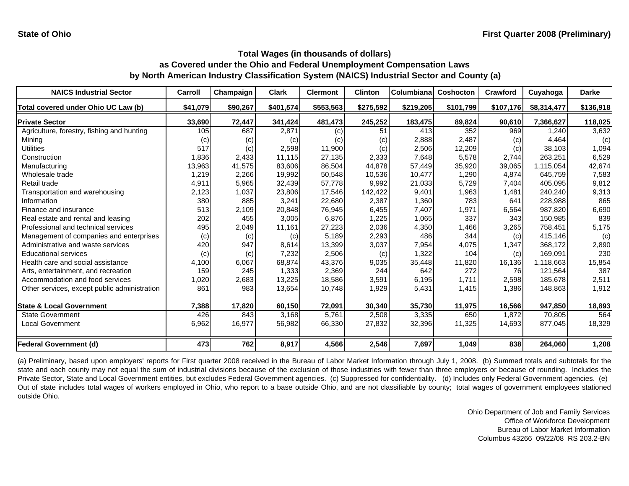| <b>NAICS Industrial Sector</b>               | Carroll  | Champaign | <b>Clark</b> | <b>Clermont</b> | <b>Clinton</b> | Columbiana | <b>Coshocton</b> | Crawford  | Cuyahoga    | <b>Darke</b> |
|----------------------------------------------|----------|-----------|--------------|-----------------|----------------|------------|------------------|-----------|-------------|--------------|
| Total covered under Ohio UC Law (b)          | \$41,079 | \$90,267  | \$401,574    | \$553,563       | \$275,592      | \$219,205  | \$101,799        | \$107,176 | \$8,314,477 | \$136,918    |
| <b>Private Sector</b>                        | 33,690   | 72,447    | 341,424      | 481,473         | 245,252        | 183,475    | 89,824           | 90,610    | 7,366,627   | 118,025      |
| Agriculture, forestry, fishing and hunting   | 105      | 687       | 2,871        | (c)             | 51             | 413        | 352              | 969       | .240        | 3,632        |
| Mining                                       | (c)      | (c)       | (c)          | (c)             | (c)            | 2,888      | 2,487            | (c)       | 4,464       | (c)          |
| <b>Utilities</b>                             | 517      | (c)       | 2,598        | 11,900          | (c)            | 2,506      | 12,209           | (c)       | 38,103      | 1,094        |
| Construction                                 | 1,836    | 2,433     | 11,115       | 27,135          | 2,333          | 7,648      | 5,578            | 2,744     | 263,251     | 6,529        |
| Manufacturing                                | 13,963   | 41,575    | 83,606       | 86,504          | 44,878         | 57,449     | 35,920           | 39,065    | 1,115,054   | 42,674       |
| Wholesale trade                              | 1,219    | 2,266     | 19,992       | 50,548          | 10,536         | 10,477     | 1,290            | 4,874     | 645,759     | 7,583        |
| Retail trade                                 | 4,911    | 5,965     | 32,439       | 57,778          | 9,992          | 21,033     | 5,729            | 7,404     | 405,095     | 9,812        |
| Transportation and warehousing               | 2,123    | 1,037     | 23,806       | 17,546          | 142,422        | 9,401      | 1,963            | 1,481     | 240,240     | 9,313        |
| Information                                  | 380      | 885       | 3,241        | 22,680          | 2,387          | 1,360      | 783              | 641       | 228,988     | 865          |
| Finance and insurance                        | 513      | 2,109     | 20,848       | 76,945          | 6,455          | 7,407      | 1,971            | 6,564     | 987,820     | 6,690        |
| Real estate and rental and leasing           | 202      | 455       | 3,005        | 6.876           | 1,225          | 1,065      | 337              | 343       | 150,985     | 839          |
| Professional and technical services          | 495      | 2,049     | 11,161       | 27,223          | 2,036          | 4,350      | 1,466            | 3,265     | 758,451     | 5,175        |
| Management of companies and enterprises      | (c)      | (c)       | (c)          | 5,189           | 2,293          | 486        | 344              | (c)       | 415.146     | (c)          |
| Administrative and waste services            | 420      | 947       | 8.614        | 13,399          | 3,037          | 7,954      | 4,075            | 1,347     | 368.172     | 2,890        |
| <b>Educational services</b>                  | (c)      | (c)       | 7,232        | 2,506           | (c)            | 1,322      | 104              | (c)       | 169,091     | 230          |
| Health care and social assistance            | 4,100    | 6,067     | 68,874       | 43,376          | 9,035          | 35,448     | 11,820           | 16,136    | 1,118,663   | 15,854       |
| Arts, entertainment, and recreation          | 159      | 245       | 1,333        | 2,369           | 244            | 642        | 272              | 76        | 121.564     | 387          |
| Accommodation and food services              | 1,020    | 2,683     | 13,225       | 18,586          | 3,591          | 6,195      | 1.711            | 2,598     | 185,678     | 2,511        |
| Other services, except public administration | 861      | 983       | 13,654       | 10,748          | 1,929          | 5,431      | 1,415            | 1,386     | 148,863     | 1,912        |
| <b>State &amp; Local Government</b>          | 7,388    | 17,820    | 60,150       | 72,091          | 30,340         | 35,730     | 11,975           | 16,566    | 947.850     | 18,893       |
| <b>State Government</b>                      | 426      | 843       | 3,168        | 5,761           | 2,508          | 3,335      | 650              | 1,872     | 70,805      | 564          |
| Local Government                             | 6,962    | 16,977    | 56,982       | 66,330          | 27,832         | 32,396     | 11,325           | 14,693    | 877,045     | 18,329       |
| <b>Federal Government (d)</b>                | 473      | 762       | 8,917        | 4,566           | 2,546          | 7,697      | 1,049            | 838       | 264,060     | 1,208        |

(a) Preliminary, based upon employers' reports for First quarter 2008 received in the Bureau of Labor Market Information through July 1, 2008. (b) Summed totals and subtotals for the state and each county may not equal the sum of industrial divisions because of the exclusion of those industries with fewer than three employers or because of rounding. Includes the Private Sector, State and Local Government entities, but excludes Federal Government agencies. (c) Suppressed for confidentiality. (d) Includes only Federal Government agencies. (e) Out of state includes total wages of workers employed in Ohio, who report to <sup>a</sup> base outside Ohio, and are not classifiable by county; total wages of government employees stationed outside Ohio.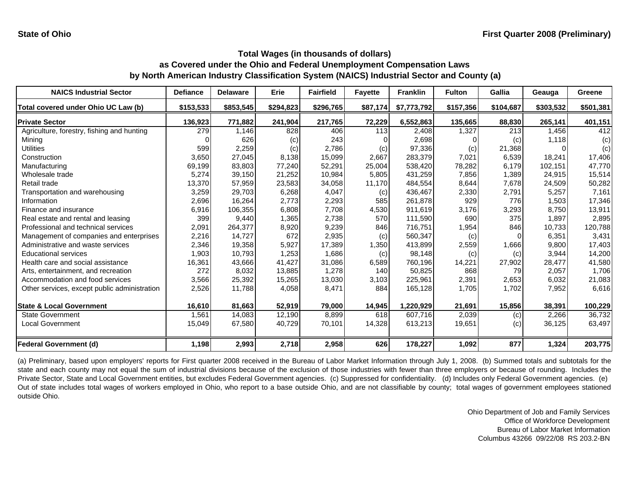| <b>NAICS Industrial Sector</b>               | <b>Defiance</b> | <b>Delaware</b> | Erie      | <b>Fairfield</b> | <b>Fayette</b> | <b>Franklin</b> | <b>Fulton</b> | <b>Gallia</b> | Geauga    | Greene    |
|----------------------------------------------|-----------------|-----------------|-----------|------------------|----------------|-----------------|---------------|---------------|-----------|-----------|
| Total covered under Ohio UC Law (b)          | \$153,533       | \$853,545       | \$294,823 | \$296,765        | \$87,174       | \$7,773,792     | \$157,356     | \$104,687     | \$303,532 | \$501,381 |
| <b>Private Sector</b>                        | 136,923         | 771,882         | 241,904   | 217,765          | 72,229         | 6,552,863       | 135,665       | 88,830        | 265,141   | 401,151   |
| Agriculture, forestry, fishing and hunting   | 279             | 1,146           | 828       | 406              | 113            | 2,408           | 1,327         | 213           | 1.456     | 412       |
| Mining                                       |                 | 626             | (c)       | 243              |                | 2,698           |               | (c)           | 1,118     | (c)       |
| Utilities                                    | 599             | 2,259           | (c)       | 2,786            | (c)            | 97,336          | (c)           | 21,368        |           | (c)       |
| Construction                                 | 3,650           | 27,045          | 8,138     | 15,099           | 2,667          | 283,379         | 7,021         | 6,539         | 18,241    | 17,406    |
| Manufacturing                                | 69,199          | 83,803          | 77,240    | 52,291           | 25,004         | 538,420         | 78,282        | 6,179         | 102,151   | 47,770    |
| Wholesale trade                              | 5,274           | 39,150          | 21,252    | 10,984           | 5,805          | 431,259         | 7,856         | 1,389         | 24,915    | 15,514    |
| Retail trade                                 | 13,370          | 57,959          | 23,583    | 34,058           | 11,170         | 484,554         | 8,644         | 7,678         | 24,509    | 50,282    |
| Transportation and warehousing               | 3,259           | 29,703          | 6,268     | 4,047            | (c)            | 436,467         | 2,330         | 2,791         | 5,257     | 7,161     |
| Information                                  | 2,696           | 16,264          | 2,773     | 2,293            | 585            | 261,878         | 929           | 776           | 1,503     | 17,346    |
| Finance and insurance                        | 6,916           | 106,355         | 6,808     | 7,708            | 4,530          | 911,619         | 3,176         | 3,293         | 8,750     | 13,911    |
| Real estate and rental and leasing           | 399             | 9,440           | 1,365     | 2,738            | 570            | 111,590         | 690           | 375           | 1,897     | 2,895     |
| Professional and technical services          | 2,091           | 264,377         | 8,920     | 9,239            | 846            | 716,751         | 1,954         | 846           | 10,733    | 120,788   |
| Management of companies and enterprises      | 2,216           | 14,727          | 672       | 2,935            | (c)            | 560,347         | (c)           | ∩             | 6,351     | 3,431     |
| Administrative and waste services            | 2,346           | 19,358          | 5,927     | 17,389           | 1,350          | 413,899         | 2,559         | 1,666         | 9,800     | 17,403    |
| <b>Educational services</b>                  | 1,903           | 10,793          | 1,253     | 1,686            | (c)            | 98,148          | (c)           | (c)           | 3,944     | 14,200    |
| Health care and social assistance            | 16,361          | 43,666          | 41,427    | 31,086           | 6,589          | 760,196         | 14,221        | 27,902        | 28,477    | 41,580    |
| Arts, entertainment, and recreation          | 272             | 8,032           | 13,885    | 1,278            | 140            | 50,825          | 868           | 79            | 2,057     | 1,706     |
| Accommodation and food services              | 3,566           | 25,392          | 15,265    | 13,030           | 3,103          | 225,961         | 2,391         | 2,653         | 6,032     | 21,083    |
| Other services, except public administration | 2,526           | 11,788          | 4,058     | 8,471            | 884            | 165,128         | 1,705         | 1,702         | 7,952     | 6,616     |
| <b>State &amp; Local Government</b>          | 16,610          | 81,663          | 52,919    | 79,000           | 14,945         | 1,220,929       | 21,691        | 15,856        | 38,391    | 100,229   |
| <b>State Government</b>                      | 1,561           | 14,083          | 12,190    | 8,899            | 618            | 607.716         | 2,039         | (c)           | 2,266     | 36,732    |
| <b>Local Government</b>                      | 15,049          | 67,580          | 40,729    | 70,101           | 14,328         | 613,213         | 19,651        | (c)           | 36,125    | 63,497    |
| <b>Federal Government (d)</b>                | 1,198           | 2,993           | 2,718     | 2,958            | 626            | 178,227         | 1,092         | 877           | 1,324     | 203,775   |

(a) Preliminary, based upon employers' reports for First quarter 2008 received in the Bureau of Labor Market Information through July 1, 2008. (b) Summed totals and subtotals for the state and each county may not equal the sum of industrial divisions because of the exclusion of those industries with fewer than three employers or because of rounding. Includes the Private Sector, State and Local Government entities, but excludes Federal Government agencies. (c) Suppressed for confidentiality. (d) Includes only Federal Government agencies. (e) Out of state includes total wages of workers employed in Ohio, who report to <sup>a</sup> base outside Ohio, and are not classifiable by county; total wages of government employees stationed outside Ohio.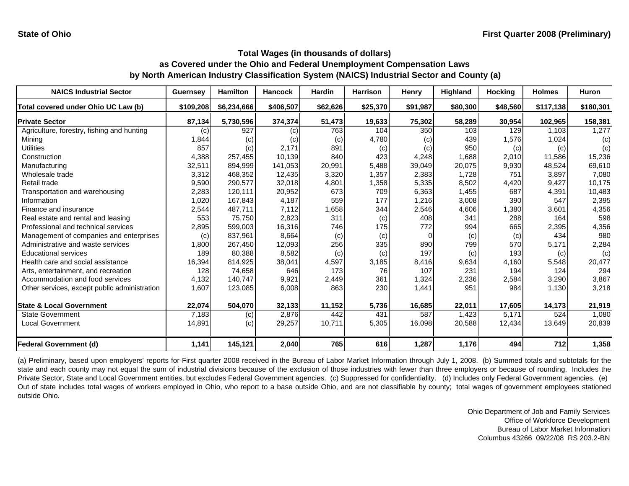| <b>NAICS Industrial Sector</b>               | <b>Guernsey</b> | <b>Hamilton</b> | <b>Hancock</b> | <b>Hardin</b> | <b>Harrison</b> | Henry    | Highland | <b>Hocking</b> | <b>Holmes</b> | <b>Huron</b> |
|----------------------------------------------|-----------------|-----------------|----------------|---------------|-----------------|----------|----------|----------------|---------------|--------------|
| Total covered under Ohio UC Law (b)          | \$109,208       | \$6,234,666     | \$406,507      | \$62,626      | \$25,370        | \$91,987 | \$80,300 | \$48,560       | \$117,138     | \$180,301    |
| <b>Private Sector</b>                        | 87,134          | 5,730,596       | 374,374        | 51,473        | 19,633          | 75,302   | 58,289   | 30,954         | 102,965       | 158,381      |
| Agriculture, forestry, fishing and hunting   | (c)             | 927             | (c)            | 763           | 104             | 350      | 103      | 129            | 1,103         | 1,277        |
| Mining                                       | 1,844           | (c)             | (c)            | (c)           | 4,780           | (c)      | 439      | 1,576          | 1,024         | (c)          |
| <b>Utilities</b>                             | 857             | (c)             | 2,171          | 891           | (c)             | (c)      | 950      | (c)            | (c)           | (c)          |
| Construction                                 | 4,388           | 257,455         | 10.139         | 840           | 423             | 4,248    | 1,688    | 2,010          | 11.586        | 15,236       |
| Manufacturing                                | 32,511          | 894,999         | 141.053        | 20.991        | 5,488           | 39,049   | 20,075   | 9,930          | 48.524        | 69,610       |
| Wholesale trade                              | 3,312           | 468,352         | 12,435         | 3,320         | 1,357           | 2,383    | 1,728    | 751            | 3,897         | 7,080        |
| Retail trade                                 | 9,590           | 290,577         | 32,018         | 4,801         | 1,358           | 5,335    | 8,502    | 4,420          | 9,427         | 10,175       |
| Transportation and warehousing               | 2,283           | 120,111         | 20,952         | 673           | 709             | 6,363    | 1,455    | 687            | 4,391         | 10,483       |
| Information                                  | 1,020           | 167,843         | 4,187          | 559           | 177             | 1,216    | 3,008    | 390            | 547           | 2,395        |
| Finance and insurance                        | 2,544           | 487,711         | 7,112          | 1,658         | 344             | 2,546    | 4,606    | 1,380          | 3,601         | 4,356        |
| Real estate and rental and leasing           | 553             | 75,750          | 2,823          | 311           | (c)             | 408      | 341      | 288            | 164           | 598          |
| Professional and technical services          | 2,895           | 599,003         | 16,316         | 746           | 175             | 772      | 994      | 665            | 2,395         | 4,356        |
| Management of companies and enterprises      | (c)             | 837,961         | 8,664          | (c)           | (c)             | $\Omega$ | (c)      | (c)            | 434           | 980          |
| Administrative and waste services            | 1,800           | 267,450         | 12,093         | 256           | 335             | 890      | 799      | 570            | 5,171         | 2,284        |
| <b>Educational services</b>                  | 189             | 80,388          | 8,582          | (c)           | (c)             | 197      | (c)      | 193            | (c)           | (c)          |
| Health care and social assistance            | 16,394          | 814,925         | 38,041         | 4,597         | 3,185           | 8,416    | 9,634    | 4,160          | 5,548         | 20,477       |
| Arts, entertainment, and recreation          | 128             | 74,658          | 646            | 173           | 76              | 107      | 231      | 194            | 124           | 294          |
| Accommodation and food services              | 4,132           | 140,747         | 9,921          | 2,449         | 361             | 1,324    | 2,236    | 2,584          | 3,290         | 3,867        |
| Other services, except public administration | 1,607           | 123,085         | 6,008          | 863           | 230             | 1,441    | 951      | 984            | 1,130         | 3,218        |
| <b>State &amp; Local Government</b>          | 22,074          | 504,070         | 32,133         | 11,152        | 5,736           | 16,685   | 22,011   | 17,605         | 14,173        | 21,919       |
| <b>State Government</b>                      | 7,183           | (c)             | 2,876          | 442           | 431             | 587      | 1,423    | 5.171          | 524           | 1,080        |
| <b>Local Government</b>                      | 14,891          | (c)             | 29,257         | 10,711        | 5,305           | 16,098   | 20,588   | 12,434         | 13,649        | 20,839       |
| <b>Federal Government (d)</b>                | 1,141           | 145,121         | 2,040          | 765           | 616             | 1,287    | 1,176    | 494            | 712           | 1,358        |

(a) Preliminary, based upon employers' reports for First quarter 2008 received in the Bureau of Labor Market Information through July 1, 2008. (b) Summed totals and subtotals for the state and each county may not equal the sum of industrial divisions because of the exclusion of those industries with fewer than three employers or because of rounding. Includes the Private Sector, State and Local Government entities, but excludes Federal Government agencies. (c) Suppressed for confidentiality. (d) Includes only Federal Government agencies. (e) Out of state includes total wages of workers employed in Ohio, who report to <sup>a</sup> base outside Ohio, and are not classifiable by county; total wages of government employees stationed outside Ohio.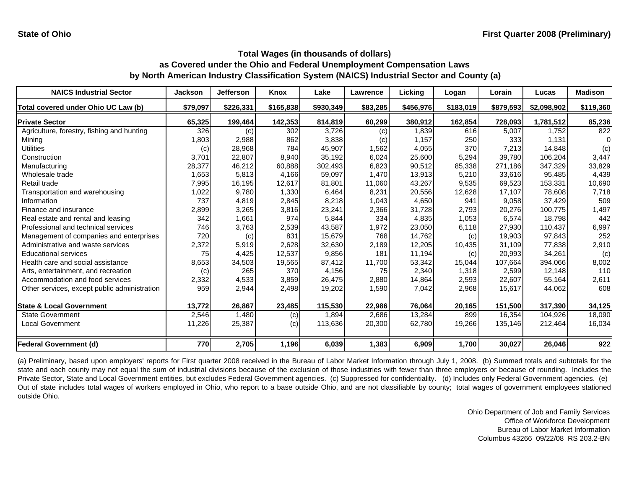| <b>NAICS Industrial Sector</b>               | <b>Jackson</b> | <b>Jefferson</b> | Knox      | Lake      | Lawrence | Lickina   | Logan     | Lorain    | Lucas       | <b>Madison</b> |
|----------------------------------------------|----------------|------------------|-----------|-----------|----------|-----------|-----------|-----------|-------------|----------------|
| Total covered under Ohio UC Law (b)          | \$79,097       | \$226,331        | \$165,838 | \$930,349 | \$83,285 | \$456,976 | \$183,019 | \$879,593 | \$2,098,902 | \$119,360      |
| <b>Private Sector</b>                        | 65,325         | 199,464          | 142,353   | 814,819   | 60,299   | 380,912   | 162,854   | 728,093   | 1,781,512   | 85,236         |
| Agriculture, forestry, fishing and hunting   | 326            | (c)              | 302       | 3,726     | (c)      | 1,839     | 616       | 5,007     | 1.752       | 822            |
| Mining                                       | 1,803          | 2,988            | 862       | 3,838     | (c)      | 1,157     | 250       | 333       | 1,131       |                |
| Utilities                                    | (c)            | 28,968           | 784       | 45,907    | 1,562    | 4,055     | 370       | 7,213     | 14,848      | (c)            |
| Construction                                 | 3,701          | 22,807           | 8,940     | 35,192    | 6,024    | 25,600    | 5,294     | 39,780    | 106,204     | 3,447          |
| Manufacturing                                | 28,377         | 46,212           | 60,888    | 302,493   | 6,823    | 90,512    | 85,338    | 271,186   | 347,329     | 33,829         |
| Wholesale trade                              | 1,653          | 5,813            | 4,166     | 59,097    | 1,470    | 13,913    | 5,210     | 33.616    | 95.485      | 4,439          |
| Retail trade                                 | 7,995          | 16,195           | 12,617    | 81,801    | 11,060   | 43,267    | 9,535     | 69,523    | 153,331     | 10,690         |
| Transportation and warehousing               | 1,022          | 9,780            | 1,330     | 6,464     | 8,231    | 20,556    | 12,628    | 17,107    | 78,608      | 7,718          |
| Information                                  | 737            | 4,819            | 2,845     | 8,218     | 1,043    | 4,650     | 941       | 9,058     | 37,429      | 509            |
| Finance and insurance                        | 2,899          | 3,265            | 3,816     | 23,241    | 2,366    | 31,728    | 2,793     | 20,276    | 100,775     | 1,497          |
| Real estate and rental and leasing           | 342            | 1,661            | 974       | 5,844     | 334      | 4,835     | 1,053     | 6,574     | 18,798      | 442            |
| Professional and technical services          | 746            | 3,763            | 2,539     | 43,587    | 1,972    | 23,050    | 6,118     | 27,930    | 110,437     | 6,997          |
| Management of companies and enterprises      | 720            | (c)              | 831       | 15.679    | 768      | 14,762    | (c)       | 19.903    | 97,843      | 252            |
| Administrative and waste services            | 2,372          | 5,919            | 2,628     | 32.630    | 2,189    | 12,205    | 10,435    | 31.109    | 77.838      | 2,910          |
| <b>Educational services</b>                  | 75             | 4,425            | 12,537    | 9,856     | 181      | 11,194    | (c)       | 20,993    | 34,261      | (c)            |
| Health care and social assistance            | 8,653          | 34,503           | 19,565    | 87,412    | 11,700   | 53,342    | 15,044    | 107.664   | 394,066     | 8,002          |
| Arts, entertainment, and recreation          | (c)            | 265              | 370       | 4,156     | 75       | 2,340     | 1,318     | 2,599     | 12,148      | 110            |
| Accommodation and food services              | 2,332          | 4,533            | 3,859     | 26,475    | 2,880    | 14,864    | 2,593     | 22,607    | 55,164      | 2,611          |
| Other services, except public administration | 959            | 2,944            | 2,498     | 19,202    | 1,590    | 7,042     | 2,968     | 15,617    | 44,062      | 608            |
| <b>State &amp; Local Government</b>          | 13,772         | 26,867           | 23,485    | 115,530   | 22,986   | 76,064    | 20,165    | 151,500   | 317,390     | 34,125         |
| <b>State Government</b>                      | 2,546          | 1,480            | (c)       | 1,894     | 2,686    | 13,284    | 899       | 16,354    | 104,926     | 18,090         |
| <b>Local Government</b>                      | 11,226         | 25,387           | (c)       | 113,636   | 20,300   | 62,780    | 19,266    | 135,146   | 212,464     | 16,034         |
| <b>Federal Government (d)</b>                | 770            | 2,705            | 1,196     | 6,039     | 1,383    | 6,909     | 1,700     | 30,027    | 26,046      | 922            |

(a) Preliminary, based upon employers' reports for First quarter 2008 received in the Bureau of Labor Market Information through July 1, 2008. (b) Summed totals and subtotals for the state and each county may not equal the sum of industrial divisions because of the exclusion of those industries with fewer than three employers or because of rounding. Includes the Private Sector, State and Local Government entities, but excludes Federal Government agencies. (c) Suppressed for confidentiality. (d) Includes only Federal Government agencies. (e) Out of state includes total wages of workers employed in Ohio, who report to <sup>a</sup> base outside Ohio, and are not classifiable by county; total wages of government employees stationed outside Ohio.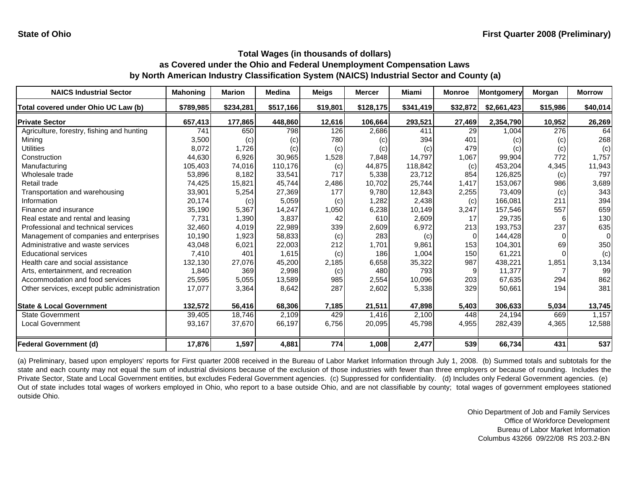| <b>NAICS Industrial Sector</b>               | <b>Mahoning</b> | <b>Marion</b> | <b>Medina</b> | <b>Meigs</b> | <b>Mercer</b> | Miami     | <b>Monroe</b> | Montgomery  | Morgan   | <b>Morrow</b> |
|----------------------------------------------|-----------------|---------------|---------------|--------------|---------------|-----------|---------------|-------------|----------|---------------|
| Total covered under Ohio UC Law (b)          | \$789,985       | \$234,281     | \$517,166     | \$19,801     | \$128,175     | \$341,419 | \$32,872      | \$2,661,423 | \$15,986 | \$40,014      |
| <b>Private Sector</b>                        | 657,413         | 177,865       | 448,860       | 12,616       | 106,664       | 293,521   | 27,469        | 2,354,790   | 10,952   | 26,269        |
| Agriculture, forestry, fishing and hunting   | 741             | 650           | 798           | 126          | 2,686         | 411       | 29            | 1,004       | 276      | 64            |
| Mining                                       | 3,500           | (c)           | (c)           | 780          | (c)           | 394       | 401           | (c)         | (c)      | 268           |
| Utilities                                    | 8,072           | 1,726         | (c)           | (c)          | (c)           | (c)       | 479           | (c)         | (c)      | (c)           |
| Construction                                 | 44,630          | 6,926         | 30,965        | 1,528        | 7,848         | 14,797    | 1,067         | 99,904      | 772      | 1,757         |
| Manufacturing                                | 105,403         | 74,016        | 110,176       | (c)          | 44,875        | 118,842   | (c)           | 453,204     | 4,345    | 11,943        |
| Wholesale trade                              | 53,896          | 8.182         | 33,541        | 717          | 5,338         | 23,712    | 854           | 126,825     | (c)      | 797           |
| Retail trade                                 | 74,425          | 15,821        | 45.744        | 2,486        | 10,702        | 25,744    | 1,417         | 153,067     | 986      | 3,689         |
| Transportation and warehousing               | 33,901          | 5,254         | 27,369        | 177          | 9,780         | 12,843    | 2,255         | 73,409      | (c)      | 343           |
| Information                                  | 20,174          | (c)           | 5,059         | (c)          | 1,282         | 2,438     | (c)           | 166.081     | 211      | 394           |
| Finance and insurance                        | 35,190          | 5,367         | 14,247        | 1,050        | 6,238         | 10,149    | 3,247         | 157,546     | 557      | 659           |
| Real estate and rental and leasing           | 7,731           | 1,390         | 3,837         | 42           | 610           | 2,609     | 17            | 29,735      | 6        | 130           |
| Professional and technical services          | 32,460          | 4,019         | 22,989        | 339          | 2,609         | 6,972     | 213           | 193,753     | 237      | 635           |
| Management of companies and enterprises      | 10,190          | 1,923         | 58,833        | (c)          | 283           | (c)       | $\Omega$      | 144,428     | $\Omega$ | $\Omega$      |
| Administrative and waste services            | 43,048          | 6,021         | 22,003        | 212          | 1,701         | 9,861     | 153           | 104,301     | 69       | 350           |
| <b>Educational services</b>                  | 7,410           | 401           | 1,615         | (c)          | 186           | 1,004     | 150           | 61,221      |          | (c)           |
| Health care and social assistance            | 132,130         | 27,076        | 45,200        | 2,185        | 6,658         | 35,322    | 987           | 438,221     | 1,851    | 3,134         |
| Arts, entertainment, and recreation          | 1,840           | 369           | 2,998         | (c)          | 480           | 793       |               | 11,377      |          | 99            |
| Accommodation and food services              | 25,595          | 5,055         | 13,589        | 985          | 2,554         | 10,096    | 203           | 67,635      | 294      | 862           |
| Other services, except public administration | 17,077          | 3,364         | 8,642         | 287          | 2,602         | 5,338     | 329           | 50,661      | 194      | 381           |
| <b>State &amp; Local Government</b>          | 132,572         | 56,416        | 68,306        | 7,185        | 21,511        | 47,898    | 5,403         | 306,633     | 5,034    | 13,745        |
| <b>State Government</b>                      | 39,405          | 18,746        | 2.109         | 429          | 1,416         | 2.100     | 448           | 24,194      | 669      | 1,157         |
| <b>Local Government</b>                      | 93,167          | 37,670        | 66,197        | 6,756        | 20,095        | 45,798    | 4,955         | 282,439     | 4,365    | 12,588        |
| <b>Federal Government (d)</b>                | 17,876          | 1,597         | 4,881         | 774          | 1,008         | 2,477     | 539           | 66,734      | 431      | 537           |

(a) Preliminary, based upon employers' reports for First quarter 2008 received in the Bureau of Labor Market Information through July 1, 2008. (b) Summed totals and subtotals for the state and each county may not equal the sum of industrial divisions because of the exclusion of those industries with fewer than three employers or because of rounding. Includes the Private Sector, State and Local Government entities, but excludes Federal Government agencies. (c) Suppressed for confidentiality. (d) Includes only Federal Government agencies. (e) Out of state includes total wages of workers employed in Ohio, who report to <sup>a</sup> base outside Ohio, and are not classifiable by county; total wages of government employees stationed outside Ohio.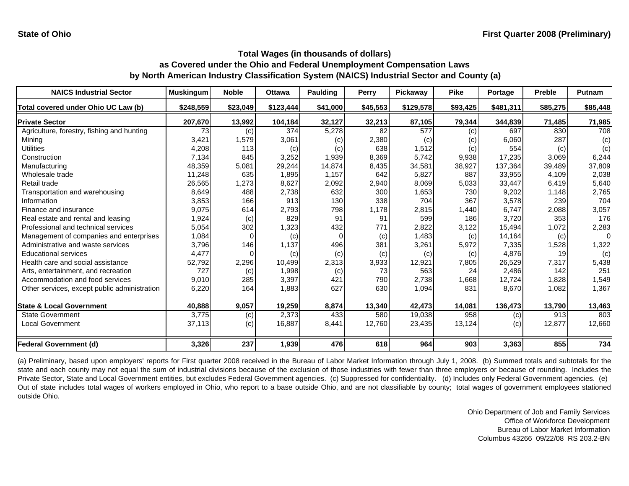| <b>NAICS Industrial Sector</b>               | <b>Muskingum</b> | <b>Noble</b> | <b>Ottawa</b> | Paulding | <b>Perry</b> | Pickaway  | <b>Pike</b> | Portage   | <b>Preble</b> | Putnam   |
|----------------------------------------------|------------------|--------------|---------------|----------|--------------|-----------|-------------|-----------|---------------|----------|
| Total covered under Ohio UC Law (b)          | \$248,559        | \$23,049     | \$123,444     | \$41,000 | \$45,553     | \$129,578 | \$93,425    | \$481,311 | \$85,275      | \$85,448 |
| <b>Private Sector</b>                        | 207,670          | 13,992       | 104,184       | 32,127   | 32,213       | 87,105    | 79,344      | 344,839   | 71,485        | 71,985   |
| Agriculture, forestry, fishing and hunting   | 73               | (c)          | 374           | 5,278    | 82           | 577       | (c)         | 697       | 830           | 708      |
| Mining                                       | 3,421            | 1,579        | 3,061         | (c)      | 2,380        | (c)       | (c)         | 6,060     | 287           | (c)      |
| <b>Utilities</b>                             | 4,208            | 113          | (c)           | (c)      | 638          | 1,512     | (c)         | 554       | (c)           | (c)      |
| Construction                                 | 7,134            | 845          | 3,252         | 1,939    | 8,369        | 5,742     | 9,938       | 17,235    | 3,069         | 6,244    |
| Manufacturing                                | 48,359           | 5,081        | 29,244        | 14,874   | 8,435        | 34,581    | 38,927      | 137,364   | 39,489        | 37,809   |
| Wholesale trade                              | 11,248           | 635          | 1,895         | 1,157    | 642          | 5.827     | 887         | 33,955    | 4.109         | 2,038    |
| Retail trade                                 | 26,565           | 1,273        | 8,627         | 2,092    | 2,940        | 8,069     | 5,033       | 33,447    | 6,419         | 5,640    |
| Transportation and warehousing               | 8,649            | 488          | 2,738         | 632      | 300          | 1,653     | 730         | 9,202     | 1,148         | 2,765    |
| Information                                  | 3,853            | 166          | 913           | 130      | 338          | 704       | 367         | 3,578     | 239           | 704      |
| Finance and insurance                        | 9,075            | 614          | 2,793         | 798      | 1,178        | 2,815     | 1,440       | 6,747     | 2,088         | 3,057    |
| Real estate and rental and leasing           | 1,924            | (c)          | 829           | 91       | 91           | 599       | 186         | 3,720     | 353           | 176      |
| Professional and technical services          | 5,054            | 302          | 1,323         | 432      | 771          | 2,822     | 3,122       | 15,494    | 1,072         | 2,283    |
| Management of companies and enterprises      | 1,084            | $\Omega$     | (c)           | $\Omega$ | (c)          | 1,483     | (c)         | 14,164    | (c)           | $\Omega$ |
| Administrative and waste services            | 3,796            | 146          | 1,137         | 496      | 381          | 3,261     | 5,972       | 7,335     | 1,528         | 1,322    |
| <b>Educational services</b>                  | 4,477            |              | (c)           | (c)      | (c)          | (c)       | (c)         | 4,876     | 19            | (c)      |
| Health care and social assistance            | 52,792           | 2,296        | 10,499        | 2,313    | 3,933        | 12,921    | 7,805       | 26,529    | 7,317         | 5,438    |
| Arts, entertainment, and recreation          | 727              | (c)          | 1,998         | (c)      | 73           | 563       | 24          | 2,486     | 142           | 251      |
| Accommodation and food services              | 9,010            | 285          | 3,397         | 421      | 790          | 2,738     | 1,668       | 12,724    | 1,828         | 1,549    |
| Other services, except public administration | 6,220            | 164          | 1,883         | 627      | 630          | 1,094     | 831         | 8,670     | 1,082         | 1,367    |
| <b>State &amp; Local Government</b>          | 40,888           | 9,057        | 19,259        | 8,874    | 13,340       | 42,473    | 14,081      | 136,473   | 13,790        | 13,463   |
| <b>State Government</b>                      | 3,775            | (c)          | 2,373         | 433      | 580          | 19,038    | 958         | (c)       | 913           | 803      |
| Local Government                             | 37,113           | (c)          | 16,887        | 8,441    | 12,760       | 23,435    | 13,124      | (c)       | 12,877        | 12,660   |
| <b>Federal Government (d)</b>                | 3,326            | 237          | 1,939         | 476      | 618          | 964       | 903         | 3,363     | 855           | 734      |

(a) Preliminary, based upon employers' reports for First quarter 2008 received in the Bureau of Labor Market Information through July 1, 2008. (b) Summed totals and subtotals for the state and each county may not equal the sum of industrial divisions because of the exclusion of those industries with fewer than three employers or because of rounding. Includes the Private Sector, State and Local Government entities, but excludes Federal Government agencies. (c) Suppressed for confidentiality. (d) Includes only Federal Government agencies. (e) Out of state includes total wages of workers employed in Ohio, who report to <sup>a</sup> base outside Ohio, and are not classifiable by county; total wages of government employees stationed outside Ohio.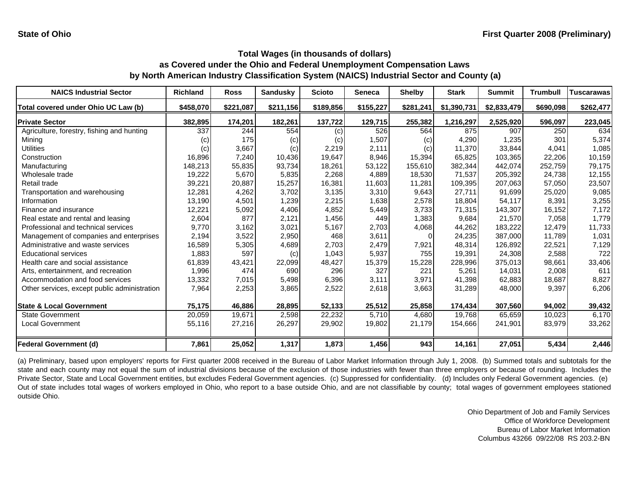| <b>NAICS Industrial Sector</b>               | Richland          | <b>Ross</b> | <b>Sandusky</b> | <b>Scioto</b> | <b>Seneca</b> | <b>Shelby</b> | <b>Stark</b> | <b>Summit</b> | <b>Trumbull</b> | <b>Tuscarawas</b> |
|----------------------------------------------|-------------------|-------------|-----------------|---------------|---------------|---------------|--------------|---------------|-----------------|-------------------|
| Total covered under Ohio UC Law (b)          | \$458,070         | \$221,087   | \$211,156       | \$189,856     | \$155,227     | \$281,241     | \$1,390,731  | \$2,833,479   | \$690,098       | \$262,477         |
| <b>Private Sector</b>                        | 382,895           | 174,201     | 182,261         | 137,722       | 129,715       | 255,382       | 1,216,297    | 2,525,920     | 596,097         | 223,045           |
| Agriculture, forestry, fishing and hunting   | 337               | 244         | 554             | (c)           | 526           | 564           | 875          | 907           | 250             | 634               |
| Mining                                       | $\left( c\right)$ | 175         | (c)             | (c)           | 1,507         | (c)           | 4,290        | 1,235         | 301             | 5,374             |
| Utilities                                    | (c)               | 3,667       | (c)             | 2,219         | 2,111         | (c)           | 11,370       | 33,844        | 4,041           | 1,085             |
| Construction                                 | 16,896            | 7,240       | 10,436          | 19,647        | 8,946         | 15,394        | 65,825       | 103,365       | 22,206          | 10,159            |
| Manufacturing                                | 148,213           | 55,835      | 93,734          | 18,261        | 53,122        | 155,610       | 382,344      | 442,074       | 252,759         | 79,175            |
| Wholesale trade                              | 19,222            | 5,670       | 5,835           | 2,268         | 4,889         | 18,530        | 71.537       | 205,392       | 24.738          | 12,155            |
| Retail trade                                 | 39,221            | 20,887      | 15,257          | 16,381        | 11,603        | 11,281        | 109,395      | 207,063       | 57,050          | 23,507            |
| Transportation and warehousing               | 12,281            | 4,262       | 3,702           | 3,135         | 3,310         | 9,643         | 27,711       | 91,699        | 25,020          | 9,085             |
| Information                                  | 13,190            | 4,501       | 1,239           | 2,215         | 1,638         | 2,578         | 18.804       | 54,117        | 8,391           | 3,255             |
| Finance and insurance                        | 12,221            | 5,092       | 4,406           | 4,852         | 5,449         | 3,733         | 71,315       | 143,307       | 16,152          | 7,172             |
| Real estate and rental and leasing           | 2,604             | 877         | 2,121           | 1,456         | 449           | 1,383         | 9,684        | 21,570        | 7,058           | 1,779             |
| Professional and technical services          | 9,770             | 3,162       | 3,021           | 5,167         | 2,703         | 4,068         | 44,262       | 183,222       | 12,479          | 11,733            |
| Management of companies and enterprises      | 2,194             | 3,522       | 2,950           | 468           | 3,611         |               | 24,235       | 387,000       | 11.789          | 1,031             |
| Administrative and waste services            | 16,589            | 5,305       | 4,689           | 2,703         | 2,479         | 7,921         | 48,314       | 126,892       | 22,521          | 7,129             |
| <b>Educational services</b>                  | 1,883             | 597         | (c)             | 1,043         | 5,937         | 755           | 19,391       | 24,308        | 2,588           | 722               |
| Health care and social assistance            | 61,839            | 43,421      | 22,099          | 48,427        | 15,379        | 15,228        | 228,996      | 375,013       | 98,661          | 33,406            |
| Arts, entertainment, and recreation          | 1,996             | 474         | 690             | 296           | 327           | 221           | 5,261        | 14,031        | 2,008           | 611               |
| Accommodation and food services              | 13,332            | 7,015       | 5,498           | 6,396         | 3,111         | 3,971         | 41,398       | 62,883        | 18,687          | 8,827             |
| Other services, except public administration | 7,964             | 2,253       | 3,865           | 2,522         | 2,618         | 3,663         | 31,289       | 48,000        | 9,397           | 6,206             |
| <b>State &amp; Local Government</b>          | 75,175            | 46,886      | 28,895          | 52,133        | 25,512        | 25,858        | 174,434      | 307,560       | 94.002          | 39,432            |
| <b>State Government</b>                      | 20,059            | 19,671      | 2,598           | 22,232        | 5,710         | 4,680         | 19.768       | 65,659        | 10,023          | 6,170             |
| <b>Local Government</b>                      | 55,116            | 27,216      | 26,297          | 29,902        | 19,802        | 21,179        | 154,666      | 241,901       | 83,979          | 33,262            |
| <b>Federal Government (d)</b>                | 7,861             | 25,052      | 1,317           | 1,873         | 1,456         | 943           | 14,161       | 27,051        | 5,434           | 2,446             |

(a) Preliminary, based upon employers' reports for First quarter 2008 received in the Bureau of Labor Market Information through July 1, 2008. (b) Summed totals and subtotals for the state and each county may not equal the sum of industrial divisions because of the exclusion of those industries with fewer than three employers or because of rounding. Includes the Private Sector, State and Local Government entities, but excludes Federal Government agencies. (c) Suppressed for confidentiality. (d) Includes only Federal Government agencies. (e) Out of state includes total wages of workers employed in Ohio, who report to <sup>a</sup> base outside Ohio, and are not classifiable by county; total wages of government employees stationed outside Ohio.